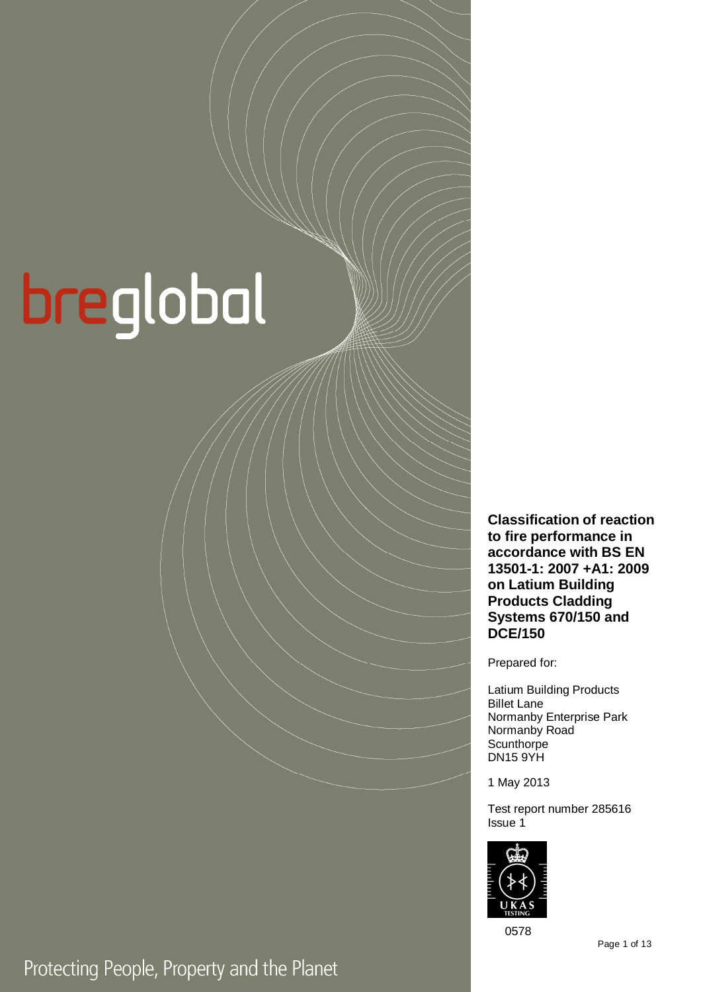# breglobal

**Classification of reaction to fire performance in accordance with BS EN 13501-1: 2007 +A1: 2009 on Latium Building Products Cladding Systems 670/150 and DCE/150** 

Prepared for:

Latium Building Products Billet Lane Normanby Enterprise Park Normanby Road **Scunthorpe** DN15 9YH

1 May 2013

Test report number 285616 Issue 1



0578

Page 1 of 13

## Protecting People, Property and the Planet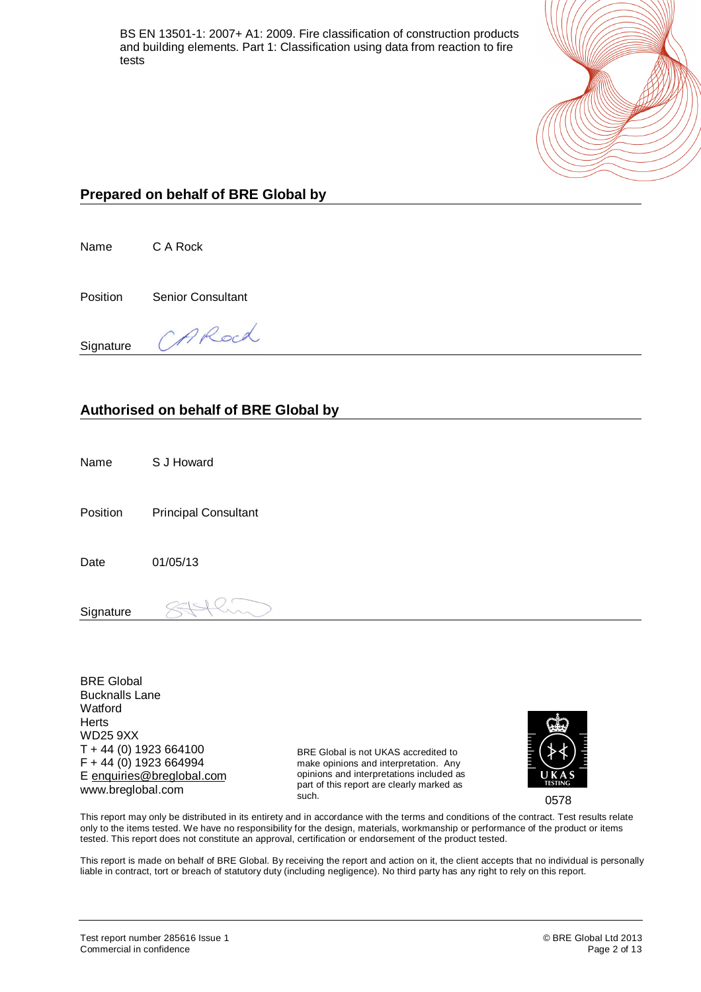

#### **Prepared on behalf of BRE Global by**

Name C A Rock

Position Senior Consultant

**Signature** 

# ARoch

#### **Authorised on behalf of BRE Global by**

Name S J Howard

Position Principal Consultant

Date 01/05/13

**Signature** 

BRE Global Bucknalls Lane **Watford Herts** WD25 9XX T + 44 (0) 1923 664100 F + 44 (0) 1923 664994 E [enquiries@breglobal.com](mailto:enquiries@breglobal.com) www.breglobal.com

BRE Global is not UKAS accredited to make opinions and interpretation. Any opinions and interpretations included as part of this report are clearly marked as such.



0578

This report may only be distributed in its entirety and in accordance with the terms and conditions of the contract. Test results relate only to the items tested. We have no responsibility for the design, materials, workmanship or performance of the product or items tested. This report does not constitute an approval, certification or endorsement of the product tested.

This report is made on behalf of BRE Global. By receiving the report and action on it, the client accepts that no individual is personally liable in contract, tort or breach of statutory duty (including negligence). No third party has any right to rely on this report.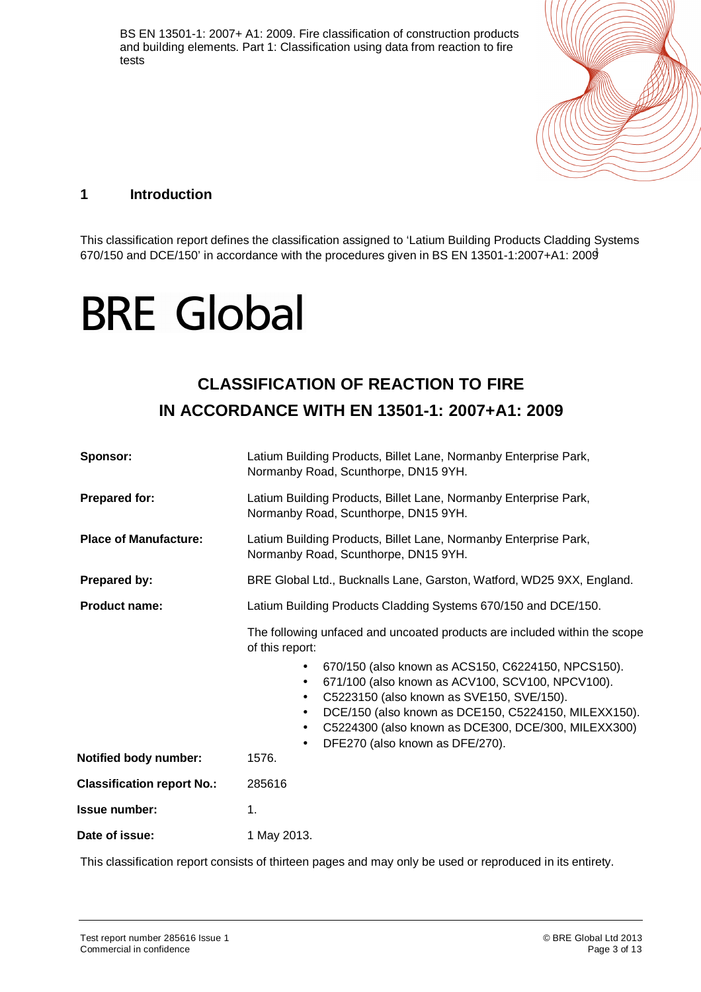

#### **1 Introduction**

This classification report defines the classification assigned to 'Latium Building Products Cladding Systems 670/150 and DCE/150' in accordance with the procedures given in BS EN 13501-1:2007+A1: 2009<sup>1</sup>

# **BRE Global**

### **CLASSIFICATION OF REACTION TO FIRE IN ACCORDANCE WITH EN 13501-1: 2007+A1: 2009**

| Sponsor:                          | Latium Building Products, Billet Lane, Normanby Enterprise Park,<br>Normanby Road, Scunthorpe, DN15 9YH.                                                                                                                                                                                                                                                               |  |
|-----------------------------------|------------------------------------------------------------------------------------------------------------------------------------------------------------------------------------------------------------------------------------------------------------------------------------------------------------------------------------------------------------------------|--|
| <b>Prepared for:</b>              | Latium Building Products, Billet Lane, Normanby Enterprise Park,<br>Normanby Road, Scunthorpe, DN15 9YH.                                                                                                                                                                                                                                                               |  |
| <b>Place of Manufacture:</b>      | Latium Building Products, Billet Lane, Normanby Enterprise Park,<br>Normanby Road, Scunthorpe, DN15 9YH.                                                                                                                                                                                                                                                               |  |
| Prepared by:                      | BRE Global Ltd., Bucknalls Lane, Garston, Watford, WD25 9XX, England.                                                                                                                                                                                                                                                                                                  |  |
| <b>Product name:</b>              | Latium Building Products Cladding Systems 670/150 and DCE/150.                                                                                                                                                                                                                                                                                                         |  |
|                                   | The following unfaced and uncoated products are included within the scope<br>of this report:                                                                                                                                                                                                                                                                           |  |
|                                   | 670/150 (also known as ACS150, C6224150, NPCS150).<br>$\bullet$<br>671/100 (also known as ACV100, SCV100, NPCV100).<br>$\bullet$<br>C5223150 (also known as SVE150, SVE/150).<br>$\bullet$<br>DCE/150 (also known as DCE150, C5224150, MILEXX150).<br>$\bullet$<br>C5224300 (also known as DCE300, DCE/300, MILEXX300)<br>$\bullet$<br>DFE270 (also known as DFE/270). |  |
| <b>Notified body number:</b>      | 1576.                                                                                                                                                                                                                                                                                                                                                                  |  |
| <b>Classification report No.:</b> | 285616                                                                                                                                                                                                                                                                                                                                                                 |  |
| <b>Issue number:</b>              | 1.                                                                                                                                                                                                                                                                                                                                                                     |  |
| Date of issue:                    | 1 May 2013.                                                                                                                                                                                                                                                                                                                                                            |  |

This classification report consists of thirteen pages and may only be used or reproduced in its entirety.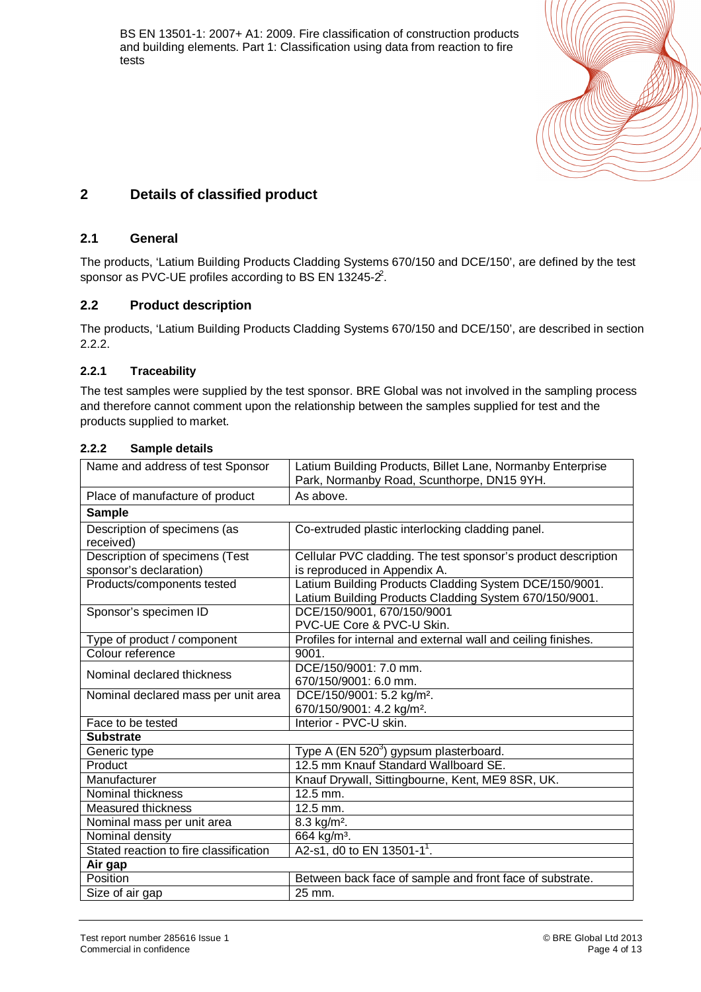

#### **2 Details of classified product**

#### **2.1 General**

The products, 'Latium Building Products Cladding Systems 670/150 and DCE/150', are defined by the test sponsor as PVC-UE profiles according to BS EN 13245- $2^2$ .

#### **2.2 Product description**

The products, 'Latium Building Products Cladding Systems 670/150 and DCE/150', are described in section 2.2.2.

#### **2.2.1 Traceability**

The test samples were supplied by the test sponsor. BRE Global was not involved in the sampling process and therefore cannot comment upon the relationship between the samples supplied for test and the products supplied to market.

#### **2.2.2 Sample details**

| Name and address of test Sponsor                         | Latium Building Products, Billet Lane, Normanby Enterprise<br>Park, Normanby Road, Scunthorpe, DN15 9YH.         |
|----------------------------------------------------------|------------------------------------------------------------------------------------------------------------------|
| Place of manufacture of product                          | As above.                                                                                                        |
| <b>Sample</b>                                            |                                                                                                                  |
| Description of specimens (as<br>received)                | Co-extruded plastic interlocking cladding panel.                                                                 |
| Description of specimens (Test<br>sponsor's declaration) | Cellular PVC cladding. The test sponsor's product description<br>is reproduced in Appendix A.                    |
| Products/components tested                               | Latium Building Products Cladding System DCE/150/9001.<br>Latium Building Products Cladding System 670/150/9001. |
| Sponsor's specimen ID                                    | DCE/150/9001, 670/150/9001<br>PVC-UE Core & PVC-U Skin.                                                          |
| Type of product / component                              | Profiles for internal and external wall and ceiling finishes.                                                    |
| Colour reference                                         | 9001.                                                                                                            |
| Nominal declared thickness                               | DCE/150/9001: 7.0 mm.<br>670/150/9001: 6.0 mm.                                                                   |
| Nominal declared mass per unit area                      | DCE/150/9001: 5.2 kg/m <sup>2</sup> .<br>670/150/9001: 4.2 kg/m <sup>2</sup> .                                   |
| Face to be tested                                        | Interior - PVC-U skin.                                                                                           |
| <b>Substrate</b>                                         |                                                                                                                  |
| Generic type                                             | Type A (EN 520 <sup>3</sup> ) gypsum plasterboard.                                                               |
| Product                                                  | 12.5 mm Knauf Standard Wallboard SE.                                                                             |
| Manufacturer                                             | Knauf Drywall, Sittingbourne, Kent, ME9 8SR, UK.                                                                 |
| Nominal thickness                                        | $\overline{12.5}$ mm.                                                                                            |
| Measured thickness                                       | $12.5$ mm.                                                                                                       |
| Nominal mass per unit area                               | 8.3 kg/m <sup>2</sup> .                                                                                          |
| Nominal density                                          | 664 kg/m <sup>3</sup> .                                                                                          |
| Stated reaction to fire classification                   | A2-s1, d0 to EN 13501-1 <sup>1</sup> .                                                                           |
| Air gap                                                  |                                                                                                                  |
| Position                                                 | Between back face of sample and front face of substrate.                                                         |
| Size of air gap                                          | 25 mm.                                                                                                           |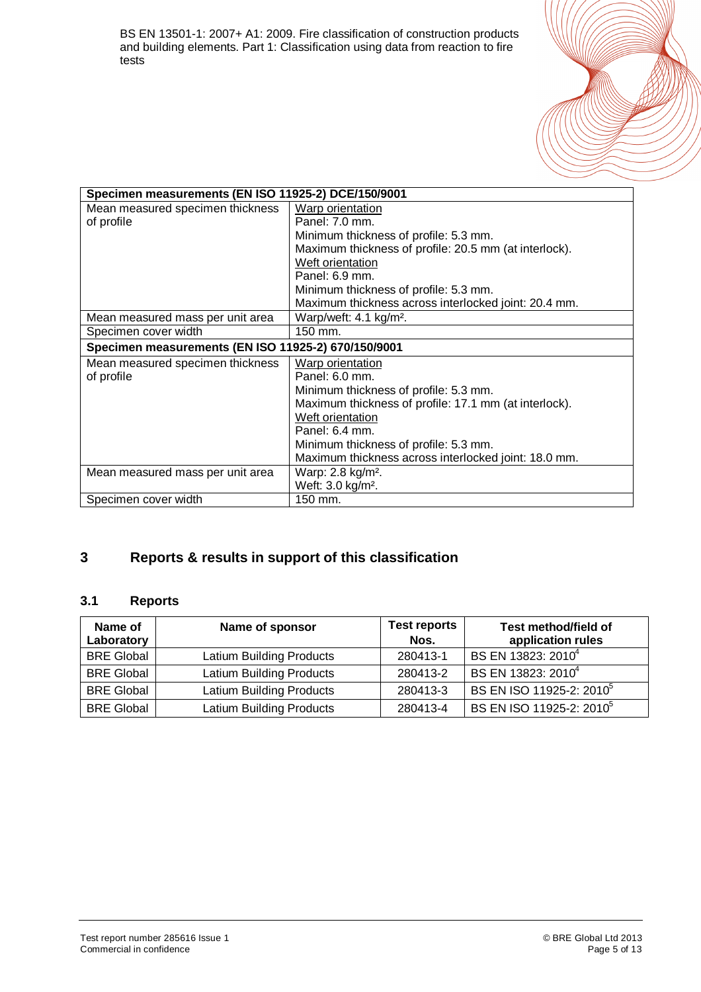

| Specimen measurements (EN ISO 11925-2) DCE/150/9001 |                                                       |
|-----------------------------------------------------|-------------------------------------------------------|
| Mean measured specimen thickness                    | <b>Warp orientation</b>                               |
| of profile                                          | Panel: 7.0 mm.                                        |
|                                                     | Minimum thickness of profile: 5.3 mm.                 |
|                                                     | Maximum thickness of profile: 20.5 mm (at interlock). |
|                                                     | Weft orientation                                      |
|                                                     | Panel: 6.9 mm.                                        |
|                                                     | Minimum thickness of profile: 5.3 mm.                 |
|                                                     | Maximum thickness across interlocked joint: 20.4 mm.  |
| Mean measured mass per unit area                    | Warp/weft: 4.1 kg/m <sup>2</sup> .                    |
| Specimen cover width                                | 150 mm.                                               |
| Specimen measurements (EN ISO 11925-2) 670/150/9001 |                                                       |
| Mean measured specimen thickness                    | Warp orientation                                      |
| of profile                                          | Panel: 6.0 mm.                                        |
|                                                     | Minimum thickness of profile: 5.3 mm.                 |
|                                                     | Maximum thickness of profile: 17.1 mm (at interlock). |
|                                                     | Weft orientation                                      |
|                                                     | Panel: 6.4 mm.                                        |
|                                                     | Minimum thickness of profile: 5.3 mm.                 |
|                                                     | Maximum thickness across interlocked joint: 18.0 mm.  |
| Mean measured mass per unit area                    | Warp: 2.8 kg/m <sup>2</sup> .                         |
|                                                     | Weft: 3.0 kg/m <sup>2</sup> .                         |
| Specimen cover width                                | 150 mm.                                               |

#### **3 Reports & results in support of this classification**

#### **3.1 Reports**

| Name of<br>Laboratory | Name of sponsor          | <b>Test reports</b><br>Nos. | Test method/field of<br>application rules |
|-----------------------|--------------------------|-----------------------------|-------------------------------------------|
| <b>BRE Global</b>     | Latium Building Products | 280413-1                    | BS EN 13823: 2010 <sup>4</sup>            |
| <b>BRE Global</b>     | Latium Building Products | 280413-2                    | BS EN 13823: 2010 <sup>4</sup>            |
| <b>BRE Global</b>     | Latium Building Products | 280413-3                    | BS EN ISO 11925-2: 2010 <sup>5</sup>      |
| <b>BRE Global</b>     | Latium Building Products | 280413-4                    | BS EN ISO 11925-2: 2010 <sup>5</sup>      |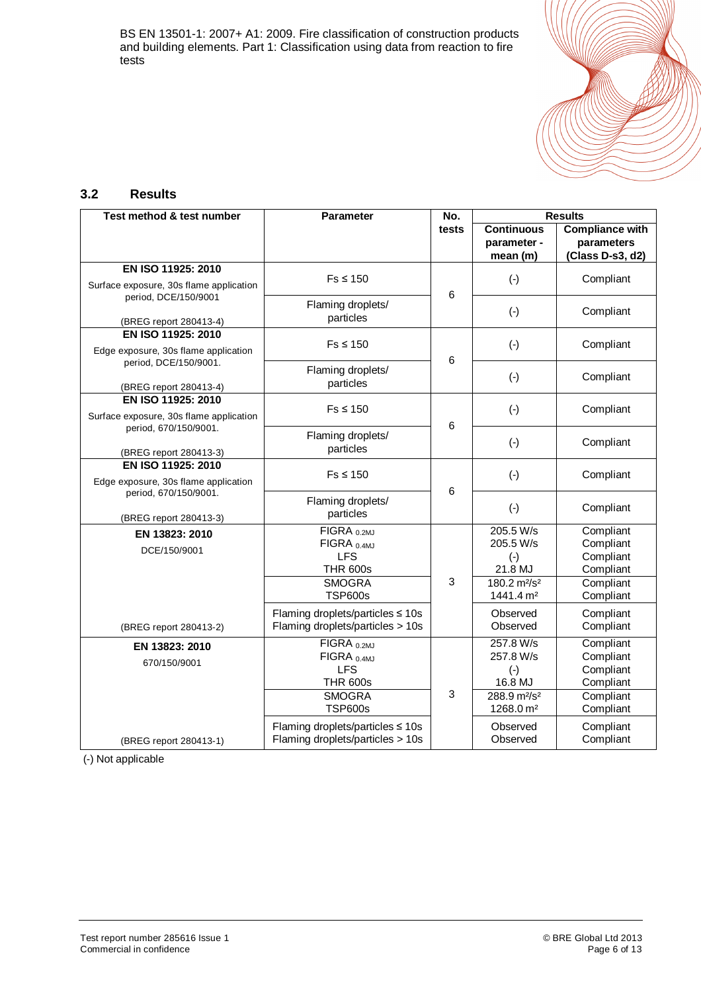

#### **3.2 Results**

| Test method & test number               | Parameter                              | No.   | <b>Results</b>                                  |                        |  |
|-----------------------------------------|----------------------------------------|-------|-------------------------------------------------|------------------------|--|
|                                         |                                        | tests | <b>Continuous</b>                               | <b>Compliance with</b> |  |
|                                         |                                        |       | parameter -                                     | parameters             |  |
|                                         |                                        |       | mean (m)                                        | (Class D-s3, d2)       |  |
| EN ISO 11925: 2010                      |                                        |       |                                                 |                        |  |
| Surface exposure, 30s flame application | $Fs \leq 150$                          |       | $(-)$                                           | Compliant              |  |
| period, DCE/150/9001                    | Flaming droplets/                      | 6     |                                                 |                        |  |
|                                         | particles                              |       | $(\cdot)$                                       | Compliant              |  |
| (BREG report 280413-4)                  |                                        |       |                                                 |                        |  |
| EN ISO 11925: 2010                      | $Fs \leq 150$                          |       | $(\cdot)$                                       | Compliant              |  |
| Edge exposure, 30s flame application    |                                        | 6     |                                                 |                        |  |
| period, DCE/150/9001.                   | Flaming droplets/                      |       |                                                 |                        |  |
| (BREG report 280413-4)                  | particles                              |       | $(-)$                                           | Compliant              |  |
| EN ISO 11925: 2010                      |                                        |       |                                                 |                        |  |
| Surface exposure, 30s flame application | $Fs \leq 150$                          |       | $(-)$                                           | Compliant              |  |
| period, 670/150/9001.                   |                                        | 6     |                                                 |                        |  |
|                                         | Flaming droplets/                      |       | $(-)$                                           | Compliant              |  |
| (BREG report 280413-3)                  | particles                              |       |                                                 |                        |  |
| EN ISO 11925: 2010                      |                                        |       |                                                 |                        |  |
| Edge exposure, 30s flame application    | $Fs \leq 150$                          |       | $(-)$                                           | Compliant              |  |
| period, 670/150/9001.                   | Flaming droplets/                      | 6     |                                                 |                        |  |
|                                         | particles                              |       | $(-)$                                           | Compliant              |  |
| (BREG report 280413-3)                  |                                        |       |                                                 |                        |  |
| EN 13823: 2010                          | $\overline{F}$ IGRA $_{0.2MJ}$         |       | 205.5 W/s                                       | Compliant              |  |
| DCE/150/9001                            | FIGRA <sub>0.4MJ</sub><br><b>LFS</b>   |       | 205.5 W/s                                       | Compliant<br>Compliant |  |
|                                         | <b>THR 600s</b>                        |       | $(-)$<br>21.8 MJ                                | Compliant              |  |
|                                         | <b>SMOGRA</b>                          | 3     | 180.2 m <sup>2</sup> /s <sup>2</sup>            | Compliant              |  |
|                                         | <b>TSP600s</b>                         |       | 1441.4 m <sup>2</sup>                           | Compliant              |  |
|                                         |                                        |       |                                                 |                        |  |
|                                         | Flaming droplets/particles ≤ 10s       |       | Observed<br>Observed                            | Compliant              |  |
| (BREG report 280413-2)                  | Flaming droplets/particles > 10s       |       |                                                 | Compliant              |  |
| EN 13823: 2010                          | FIGRA <sub>0.2MJ</sub>                 |       | 257.8 W/s                                       | Compliant              |  |
| 670/150/9001                            | $FIGRA_{ 0.4MJ}$                       |       | 257.8 W/s                                       | Compliant              |  |
|                                         | <b>LFS</b>                             |       | $(-)$                                           | Compliant              |  |
|                                         | <b>THR 600s</b><br><b>SMOGRA</b>       | 3     | 16.8 MJ<br>288.9 m <sup>2</sup> /s <sup>2</sup> | Compliant              |  |
|                                         | <b>TSP600s</b>                         |       | 1268.0 m <sup>2</sup>                           | Compliant<br>Compliant |  |
|                                         |                                        |       |                                                 |                        |  |
|                                         | Flaming droplets/particles $\leq 10$ s |       | Observed                                        | Compliant              |  |
| (BREG report 280413-1)                  | Flaming droplets/particles > 10s       |       | Observed                                        | Compliant              |  |

(-) Not applicable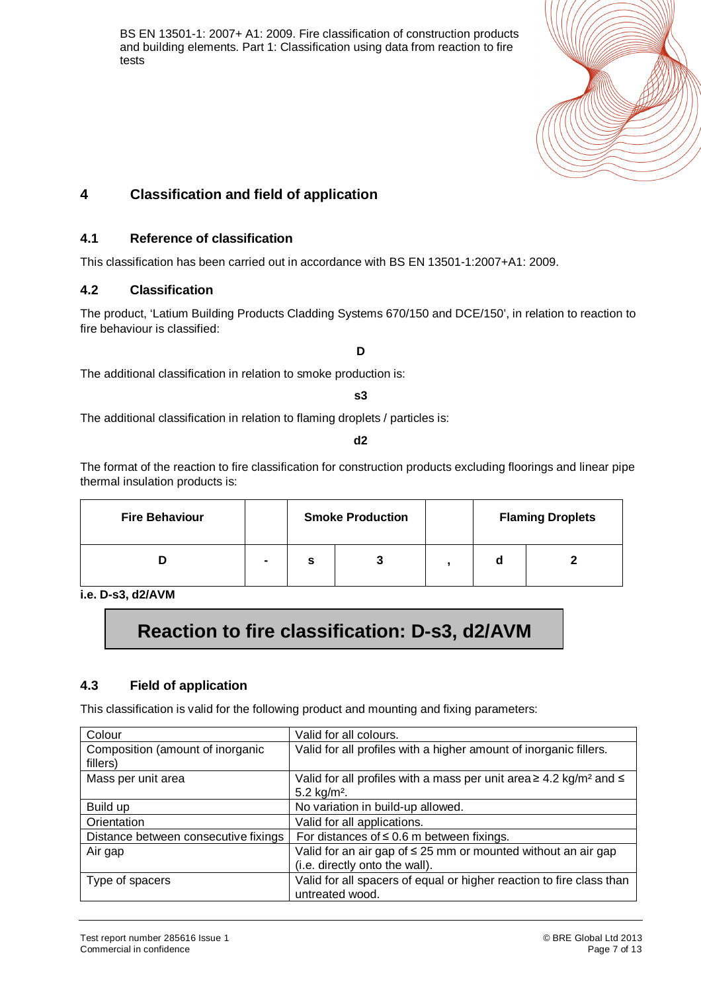

#### **4 Classification and field of application**

#### **4.1 Reference of classification**

This classification has been carried out in accordance with BS EN 13501-1:2007+A1: 2009.

#### **4.2 Classification**

The product, 'Latium Building Products Cladding Systems 670/150 and DCE/150', in relation to reaction to fire behaviour is classified:

**D** 

The additional classification in relation to smoke production is:

#### **s3**

The additional classification in relation to flaming droplets / particles is:

**d2** 

The format of the reaction to fire classification for construction products excluding floorings and linear pipe thermal insulation products is:

| <b>Fire Behaviour</b> |                |   | <b>Smoke Production</b> |   | <b>Flaming Droplets</b> |
|-----------------------|----------------|---|-------------------------|---|-------------------------|
|                       | $\blacksquare$ | s |                         | a |                         |

**i.e. D-s3, d2/AVM** 

## **Reaction to fire classification: D-s3, d2/AVM**

#### **4.3 Field of application**

This classification is valid for the following product and mounting and fixing parameters:

| Colour                                       | Valid for all colours.                                                                                             |
|----------------------------------------------|--------------------------------------------------------------------------------------------------------------------|
| Composition (amount of inorganic<br>fillers) | Valid for all profiles with a higher amount of inorganic fillers.                                                  |
| Mass per unit area                           | Valid for all profiles with a mass per unit area $\geq 4.2$ kg/m <sup>2</sup> and $\leq$<br>$5.2 \text{ kg/m}^2$ . |
| Build up                                     | No variation in build-up allowed.                                                                                  |
| Orientation                                  | Valid for all applications.                                                                                        |
| Distance between consecutive fixings         | For distances of $\leq$ 0.6 m between fixings.                                                                     |
| Air gap                                      | Valid for an air gap of $\leq$ 25 mm or mounted without an air gap<br>(i.e. directly onto the wall).               |
| Type of spacers                              | Valid for all spacers of equal or higher reaction to fire class than<br>untreated wood.                            |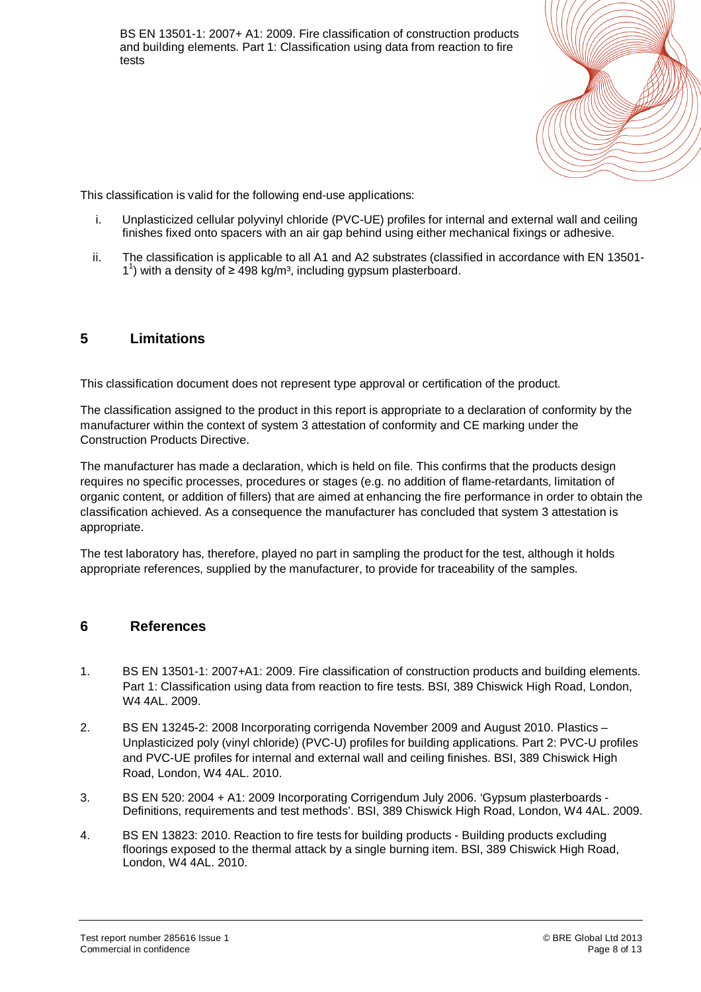

This classification is valid for the following end-use applications:

- i. Unplasticized cellular polyvinyl chloride (PVC-UE) profiles for internal and external wall and ceiling finishes fixed onto spacers with an air gap behind using either mechanical fixings or adhesive.
- ii. The classification is applicable to all A1 and A2 substrates (classified in accordance with EN 13501-  $1^1$ ) with a density of  $\geq 498$  kg/m<sup>3</sup>, including gypsum plasterboard.

#### **5 Limitations**

This classification document does not represent type approval or certification of the product.

The classification assigned to the product in this report is appropriate to a declaration of conformity by the manufacturer within the context of system 3 attestation of conformity and CE marking under the Construction Products Directive.

The manufacturer has made a declaration, which is held on file. This confirms that the products design requires no specific processes, procedures or stages (e.g. no addition of flame-retardants, limitation of organic content, or addition of fillers) that are aimed at enhancing the fire performance in order to obtain the classification achieved. As a consequence the manufacturer has concluded that system 3 attestation is appropriate.

The test laboratory has, therefore, played no part in sampling the product for the test, although it holds appropriate references, supplied by the manufacturer, to provide for traceability of the samples.

#### **6 References**

- 1. BS EN 13501-1: 2007+A1: 2009. Fire classification of construction products and building elements. Part 1: Classification using data from reaction to fire tests. BSI, 389 Chiswick High Road, London, W4 4AL. 2009.
- 2. BS EN 13245-2: 2008 Incorporating corrigenda November 2009 and August 2010. Plastics Unplasticized poly (vinyl chloride) (PVC-U) profiles for building applications. Part 2: PVC-U profiles and PVC-UE profiles for internal and external wall and ceiling finishes. BSI, 389 Chiswick High Road, London, W4 4AL. 2010.
- 3. BS EN 520: 2004 + A1: 2009 Incorporating Corrigendum July 2006. 'Gypsum plasterboards Definitions, requirements and test methods'. BSI, 389 Chiswick High Road, London, W4 4AL. 2009.
- 4. BS EN 13823: 2010. Reaction to fire tests for building products Building products excluding floorings exposed to the thermal attack by a single burning item. BSI, 389 Chiswick High Road, London, W4 4AL. 2010.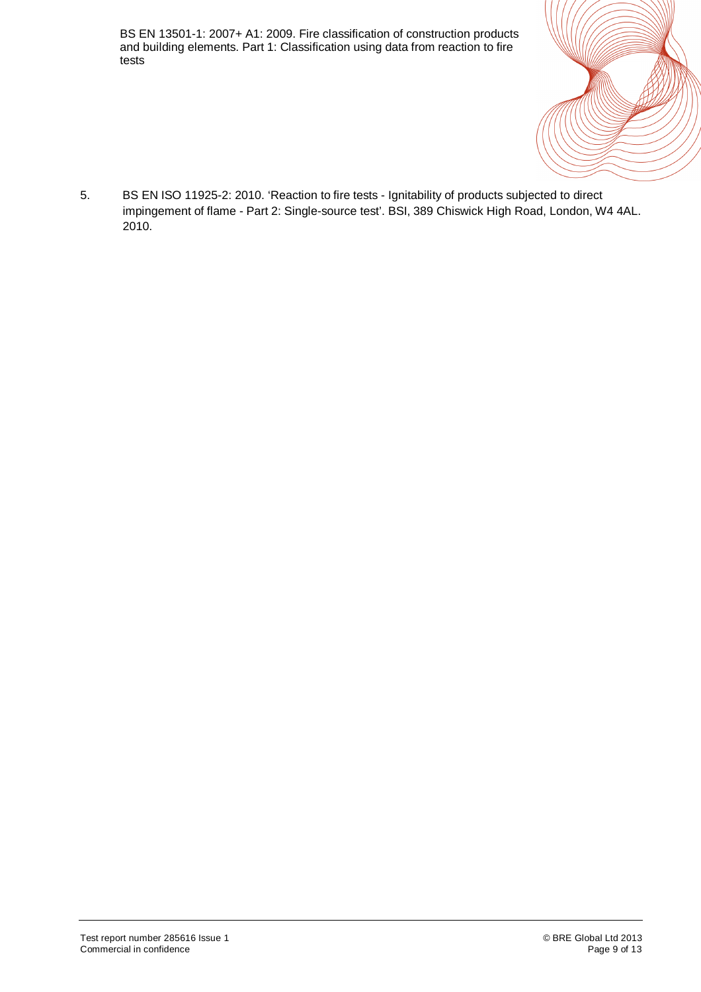

5. BS EN ISO 11925-2: 2010. 'Reaction to fire tests - Ignitability of products subjected to direct impingement of flame - Part 2: Single-source test'. BSI, 389 Chiswick High Road, London, W4 4AL. 2010.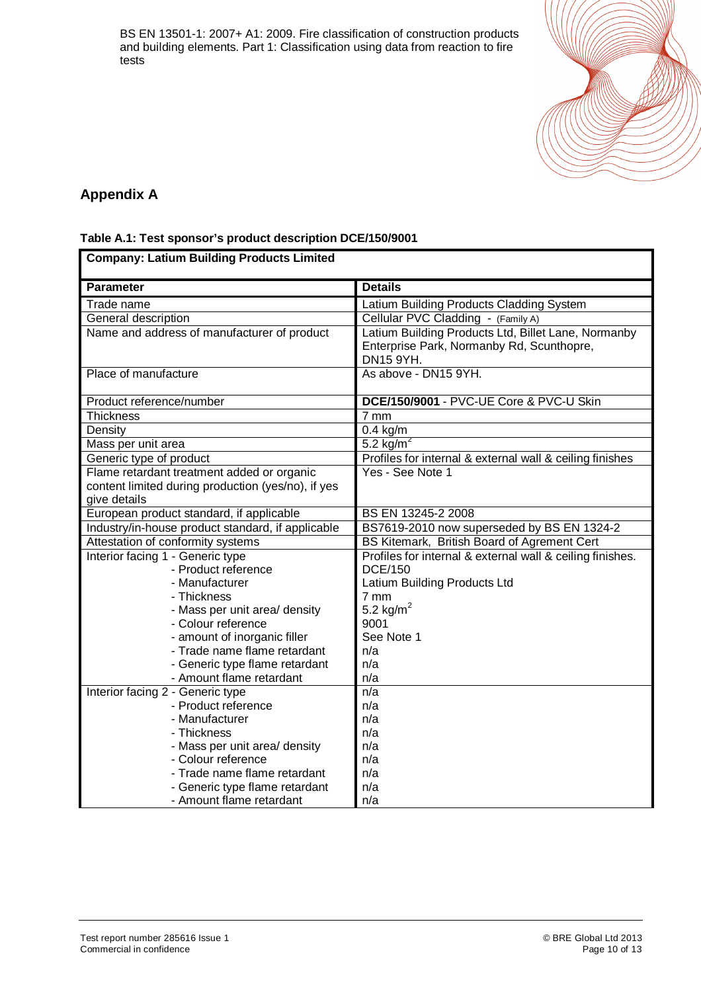

#### **Appendix A**

#### **Table A.1: Test sponsor's product description DCE/150/9001**

| <b>Company: Latium Building Products Limited</b>             |                                                                                                               |  |
|--------------------------------------------------------------|---------------------------------------------------------------------------------------------------------------|--|
| <b>Parameter</b>                                             | <b>Details</b>                                                                                                |  |
| Trade name                                                   | Latium Building Products Cladding System                                                                      |  |
| General description                                          | Cellular PVC Cladding - (Family A)                                                                            |  |
| Name and address of manufacturer of product                  | Latium Building Products Ltd, Billet Lane, Normanby<br>Enterprise Park, Normanby Rd, Scunthopre,<br>DN15 9YH. |  |
| Place of manufacture                                         | As above - DN15 9YH.                                                                                          |  |
| Product reference/number                                     | DCE/150/9001 - PVC-UE Core & PVC-U Skin                                                                       |  |
| <b>Thickness</b>                                             | 7 mm                                                                                                          |  |
| Density                                                      | $0.4$ kg/m                                                                                                    |  |
| Mass per unit area                                           | 5.2 $\overline{\text{kg/m}^2}$                                                                                |  |
| Generic type of product                                      | Profiles for internal & external wall & ceiling finishes                                                      |  |
| Flame retardant treatment added or organic                   | Yes - See Note 1                                                                                              |  |
| content limited during production (yes/no), if yes           |                                                                                                               |  |
| give details                                                 |                                                                                                               |  |
| European product standard, if applicable                     | BS EN 13245-2 2008                                                                                            |  |
| Industry/in-house product standard, if applicable            | BS7619-2010 now superseded by BS EN 1324-2                                                                    |  |
| Attestation of conformity systems                            | BS Kitemark, British Board of Agrement Cert                                                                   |  |
| Interior facing 1 - Generic type                             | Profiles for internal & external wall & ceiling finishes.                                                     |  |
| - Product reference                                          | <b>DCE/150</b>                                                                                                |  |
| - Manufacturer                                               | Latium Building Products Ltd                                                                                  |  |
| - Thickness                                                  | 7 mm                                                                                                          |  |
| - Mass per unit area/ density                                | 5.2 kg/m <sup>2</sup>                                                                                         |  |
| - Colour reference                                           | 9001<br>See Note 1                                                                                            |  |
| - amount of inorganic filler<br>- Trade name flame retardant | n/a                                                                                                           |  |
| - Generic type flame retardant                               | n/a                                                                                                           |  |
| - Amount flame retardant                                     | n/a                                                                                                           |  |
| Interior facing 2 - Generic type                             | n/a                                                                                                           |  |
| - Product reference                                          | n/a                                                                                                           |  |
| - Manufacturer                                               | n/a                                                                                                           |  |
| - Thickness                                                  | n/a                                                                                                           |  |
| - Mass per unit area/ density                                | n/a                                                                                                           |  |
| - Colour reference                                           | n/a                                                                                                           |  |
| - Trade name flame retardant                                 | n/a                                                                                                           |  |
| - Generic type flame retardant                               | n/a                                                                                                           |  |
| - Amount flame retardant                                     | n/a                                                                                                           |  |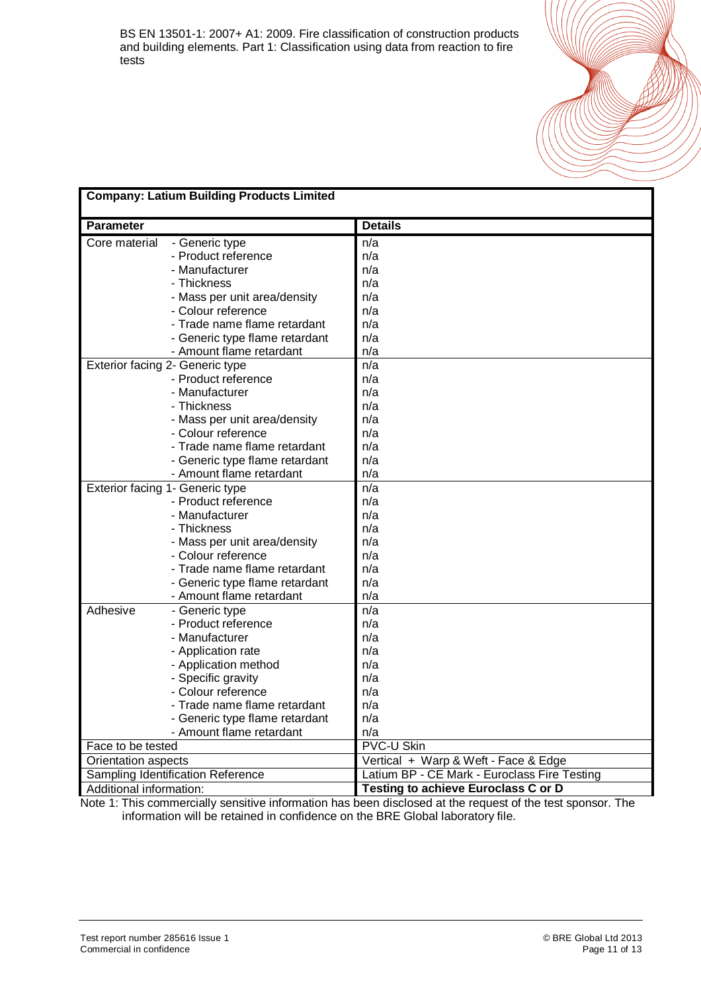|                         | <b>Company: Latium Building Products Limited</b> |                                              |  |
|-------------------------|--------------------------------------------------|----------------------------------------------|--|
| <b>Parameter</b>        |                                                  | <b>Details</b>                               |  |
| Core material           | - Generic type                                   | n/a                                          |  |
|                         | - Product reference                              | n/a                                          |  |
|                         | - Manufacturer                                   | n/a                                          |  |
|                         | - Thickness                                      | n/a                                          |  |
|                         | - Mass per unit area/density                     | n/a                                          |  |
|                         | - Colour reference                               | n/a                                          |  |
|                         | - Trade name flame retardant                     | n/a                                          |  |
|                         | - Generic type flame retardant                   | n/a                                          |  |
|                         | - Amount flame retardant                         | n/a                                          |  |
|                         | Exterior facing 2- Generic type                  | n/a                                          |  |
|                         | - Product reference                              | n/a                                          |  |
|                         | - Manufacturer                                   | n/a                                          |  |
|                         | - Thickness                                      | n/a                                          |  |
|                         | - Mass per unit area/density                     | n/a                                          |  |
|                         | - Colour reference                               | n/a                                          |  |
|                         | - Trade name flame retardant                     | n/a                                          |  |
|                         | - Generic type flame retardant                   | n/a                                          |  |
|                         | - Amount flame retardant                         | n/a                                          |  |
|                         | Exterior facing 1- Generic type                  | n/a                                          |  |
|                         | - Product reference                              | n/a                                          |  |
|                         | - Manufacturer                                   | n/a                                          |  |
|                         | - Thickness                                      | n/a                                          |  |
|                         | - Mass per unit area/density                     | n/a                                          |  |
|                         | - Colour reference                               | n/a                                          |  |
|                         | - Trade name flame retardant                     | n/a                                          |  |
|                         | - Generic type flame retardant                   | n/a                                          |  |
|                         | - Amount flame retardant                         | n/a                                          |  |
| Adhesive                | - Generic type                                   | n/a                                          |  |
|                         | - Product reference                              | n/a                                          |  |
|                         | - Manufacturer                                   | n/a                                          |  |
|                         | - Application rate                               | n/a                                          |  |
|                         | - Application method                             | n/a                                          |  |
|                         | - Specific gravity                               | n/a                                          |  |
|                         | - Colour reference                               | n/a                                          |  |
|                         | - Trade name flame retardant                     | n/a                                          |  |
|                         | - Generic type flame retardant                   | n/a                                          |  |
|                         | - Amount flame retardant                         | n/a                                          |  |
| Face to be tested       |                                                  | <b>PVC-U Skin</b>                            |  |
| Orientation aspects     |                                                  | Vertical + Warp & Weft - Face & Edge         |  |
|                         | Sampling Identification Reference                | Latium BP - CE Mark - Euroclass Fire Testing |  |
| Additional information: |                                                  | Testing to achieve Euroclass C or D          |  |

Note 1: This commercially sensitive information has been disclosed at the request of the test sponsor. The information will be retained in confidence on the BRE Global laboratory file.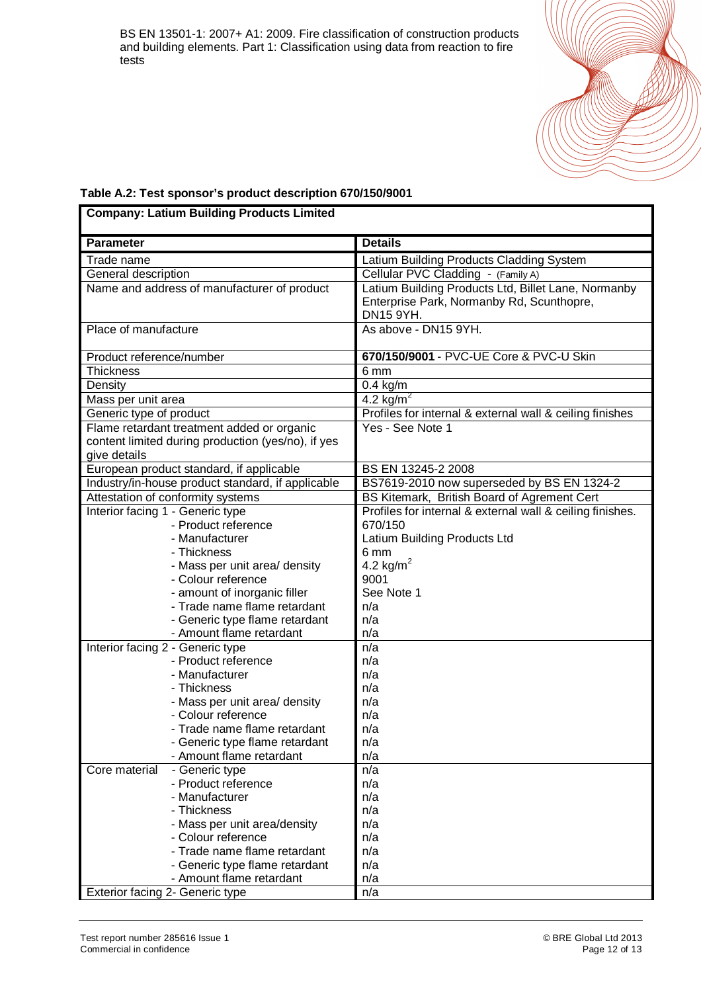

#### **Table A.2: Test sponsor's product description 670/150/9001**

| <b>Company: Latium Building Products Limited</b>        |                                                           |
|---------------------------------------------------------|-----------------------------------------------------------|
| <b>Parameter</b>                                        | <b>Details</b>                                            |
| Trade name                                              | Latium Building Products Cladding System                  |
| General description                                     | Cellular PVC Cladding - (Family A)                        |
| Name and address of manufacturer of product             | Latium Building Products Ltd, Billet Lane, Normanby       |
|                                                         | Enterprise Park, Normanby Rd, Scunthopre,                 |
|                                                         | DN15 9YH.                                                 |
| Place of manufacture                                    | As above - DN15 9YH.                                      |
| Product reference/number                                | 670/150/9001 - PVC-UE Core & PVC-U Skin                   |
| <b>Thickness</b>                                        | 6 mm                                                      |
| Density                                                 | $0.4$ kg/m                                                |
| Mass per unit area                                      | 4.2 $\overline{\text{kg/m}^2}$                            |
| Generic type of product                                 | Profiles for internal & external wall & ceiling finishes  |
| Flame retardant treatment added or organic              | Yes - See Note 1                                          |
| content limited during production (yes/no), if yes      |                                                           |
| give details                                            |                                                           |
| European product standard, if applicable                | BS EN 13245-2 2008                                        |
| Industry/in-house product standard, if applicable       | BS7619-2010 now superseded by BS EN 1324-2                |
| Attestation of conformity systems                       | BS Kitemark, British Board of Agrement Cert               |
| Interior facing 1 - Generic type                        | Profiles for internal & external wall & ceiling finishes. |
| - Product reference                                     | 670/150                                                   |
| - Manufacturer                                          | Latium Building Products Ltd                              |
| - Thickness                                             | 6 mm                                                      |
| - Mass per unit area/ density                           | 4.2 kg/m <sup>2</sup>                                     |
| - Colour reference                                      | 9001                                                      |
| - amount of inorganic filler                            | See Note 1                                                |
| - Trade name flame retardant                            | n/a                                                       |
| - Generic type flame retardant                          | n/a<br>n/a                                                |
| - Amount flame retardant                                | n/a                                                       |
| Interior facing 2 - Generic type<br>- Product reference | n/a                                                       |
| - Manufacturer                                          | n/a                                                       |
| - Thickness                                             | n/a                                                       |
| - Mass per unit area/ density                           | n/a                                                       |
| - Colour reference                                      | n/a                                                       |
| - Trade name flame retardant                            | n/a                                                       |
| - Generic type flame retardant                          | n/a                                                       |
| - Amount flame retardant                                | n/a                                                       |
| Core material<br>- Generic type                         | n/a                                                       |
| - Product reference                                     | n/a                                                       |
| - Manufacturer                                          | n/a                                                       |
| - Thickness                                             | n/a                                                       |
| - Mass per unit area/density                            | n/a                                                       |
| - Colour reference                                      | n/a                                                       |
| - Trade name flame retardant                            | n/a                                                       |
| - Generic type flame retardant                          | n/a                                                       |
| - Amount flame retardant                                | n/a                                                       |
| Exterior facing 2- Generic type                         | n/a                                                       |